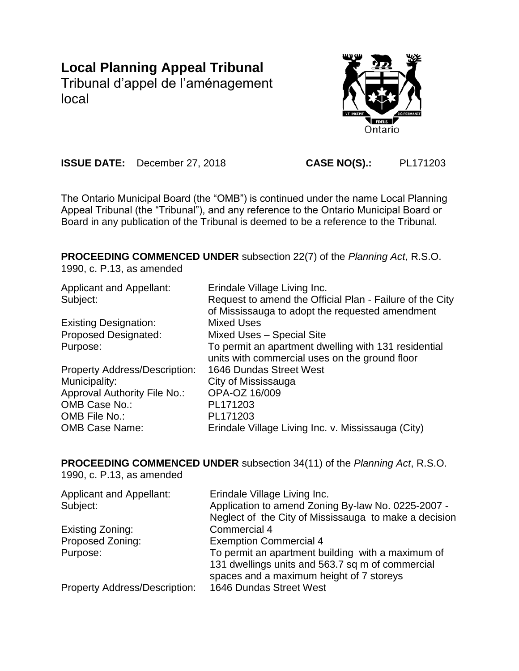# **Local Planning Appeal Tribunal**

Tribunal d'appel de l'aménagement local



**ISSUE DATE:** December 27, 2018 **CASE NO(S).:** PL171203

The Ontario Municipal Board (the "OMB") is continued under the name Local Planning Appeal Tribunal (the "Tribunal"), and any reference to the Ontario Municipal Board or Board in any publication of the Tribunal is deemed to be a reference to the Tribunal.

**PROCEEDING COMMENCED UNDER** subsection 22(7) of the *Planning Act*, R.S.O.

1990, c. P.13, as amended

| <b>Applicant and Appellant:</b>      | Erindale Village Living Inc.                             |
|--------------------------------------|----------------------------------------------------------|
| Subject:                             | Request to amend the Official Plan - Failure of the City |
|                                      | of Mississauga to adopt the requested amendment          |
| <b>Existing Designation:</b>         | <b>Mixed Uses</b>                                        |
| <b>Proposed Designated:</b>          | Mixed Uses - Special Site                                |
| Purpose:                             | To permit an apartment dwelling with 131 residential     |
|                                      | units with commercial uses on the ground floor           |
| <b>Property Address/Description:</b> | 1646 Dundas Street West                                  |
| Municipality:                        | City of Mississauga                                      |
| <b>Approval Authority File No.:</b>  | OPA-OZ 16/009                                            |
| OMB Case No.:                        | PL171203                                                 |
| OMB File No.:                        | PL171203                                                 |
| <b>OMB Case Name:</b>                | Erindale Village Living Inc. v. Mississauga (City)       |
|                                      |                                                          |

**PROCEEDING COMMENCED UNDER** subsection 34(11) of the *Planning Act*, R.S.O.

1990, c. P.13, as amended

| <b>Applicant and Appellant:</b>      | Erindale Village Living Inc.                          |
|--------------------------------------|-------------------------------------------------------|
| Subject:                             | Application to amend Zoning By-law No. 0225-2007 -    |
|                                      | Neglect of the City of Mississauga to make a decision |
| Existing Zoning:                     | Commercial 4                                          |
| Proposed Zoning:                     | <b>Exemption Commercial 4</b>                         |
| Purpose:                             | To permit an apartment building with a maximum of     |
|                                      | 131 dwellings units and 563.7 sq m of commercial      |
|                                      | spaces and a maximum height of 7 storeys              |
| <b>Property Address/Description:</b> | 1646 Dundas Street West                               |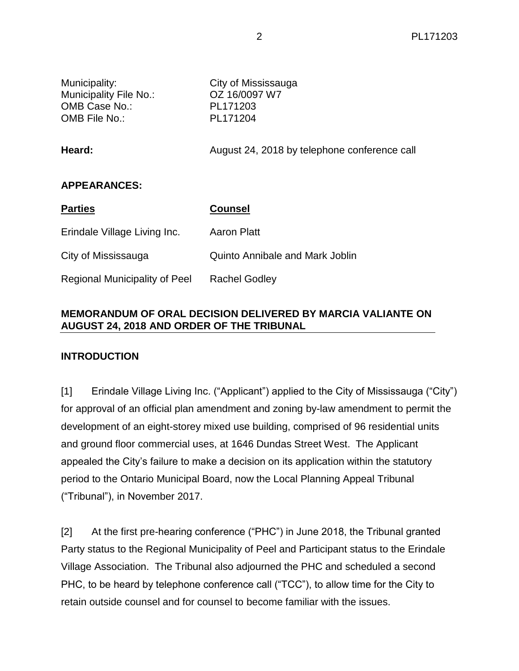| Municipality:<br>Municipality File No.:<br>OMB Case No.:<br>OMB File No.: | City of Mississauga<br>OZ 16/0097 W7<br>PL171203<br>PL171204 |
|---------------------------------------------------------------------------|--------------------------------------------------------------|
| Heard:                                                                    | August 24, 2018 by telephone conference call                 |
| <b>APPEARANCES:</b>                                                       |                                                              |
| <b>Parties</b>                                                            | <b>Counsel</b>                                               |
| Erindale Village Living Inc.                                              | <b>Aaron Platt</b>                                           |
| City of Mississauga                                                       | <b>Quinto Annibale and Mark Joblin</b>                       |
| <b>Regional Municipality of Peel</b>                                      | <b>Rachel Godley</b>                                         |

## **MEMORANDUM OF ORAL DECISION DELIVERED BY MARCIA VALIANTE ON AUGUST 24, 2018 AND ORDER OF THE TRIBUNAL**

## **INTRODUCTION**

[1] Erindale Village Living Inc. ("Applicant") applied to the City of Mississauga ("City") for approval of an official plan amendment and zoning by-law amendment to permit the development of an eight-storey mixed use building, comprised of 96 residential units and ground floor commercial uses, at 1646 Dundas Street West. The Applicant appealed the City's failure to make a decision on its application within the statutory period to the Ontario Municipal Board, now the Local Planning Appeal Tribunal ("Tribunal"), in November 2017.

[2] At the first pre-hearing conference ("PHC") in June 2018, the Tribunal granted Party status to the Regional Municipality of Peel and Participant status to the Erindale Village Association. The Tribunal also adjourned the PHC and scheduled a second PHC, to be heard by telephone conference call ("TCC"), to allow time for the City to retain outside counsel and for counsel to become familiar with the issues.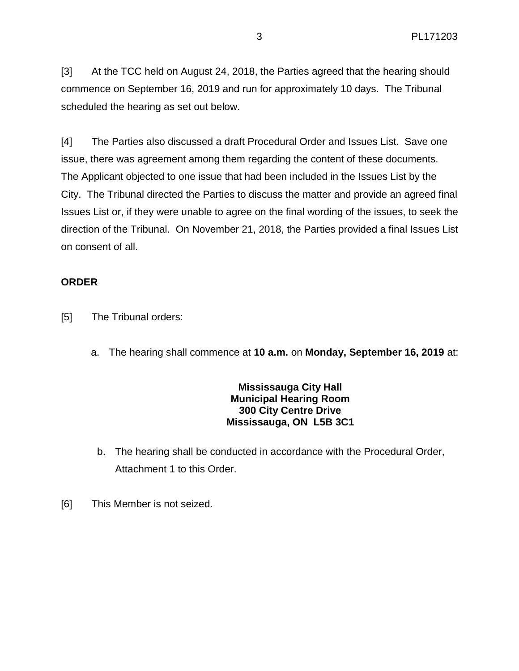[3] At the TCC held on August 24, 2018, the Parties agreed that the hearing should commence on September 16, 2019 and run for approximately 10 days. The Tribunal scheduled the hearing as set out below.

[4] The Parties also discussed a draft Procedural Order and Issues List. Save one issue, there was agreement among them regarding the content of these documents. The Applicant objected to one issue that had been included in the Issues List by the City. The Tribunal directed the Parties to discuss the matter and provide an agreed final Issues List or, if they were unable to agree on the final wording of the issues, to seek the direction of the Tribunal. On November 21, 2018, the Parties provided a final Issues List on consent of all.

## **ORDER**

- [5] The Tribunal orders:
	- a. The hearing shall commence at **10 a.m.** on **Monday, September 16, 2019** at:

## **Mississauga City Hall Municipal Hearing Room 300 City Centre Drive Mississauga, ON L5B 3C1**

- b. The hearing shall be conducted in accordance with the Procedural Order, Attachment 1 to this Order.
- [6] This Member is not seized.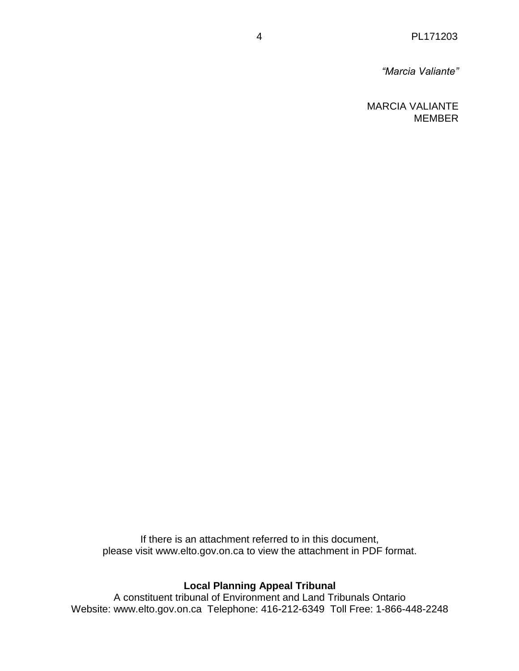*"Marcia Valiante"*

MARCIA VALIANTE MEMBER

If there is an attachment referred to in this document, please visit www.elto.gov.on.ca to view the attachment in PDF format.

## **Local Planning Appeal Tribunal**

A constituent tribunal of Environment and Land Tribunals Ontario Website: www.elto.gov.on.ca Telephone: 416-212-6349 Toll Free: 1-866-448-2248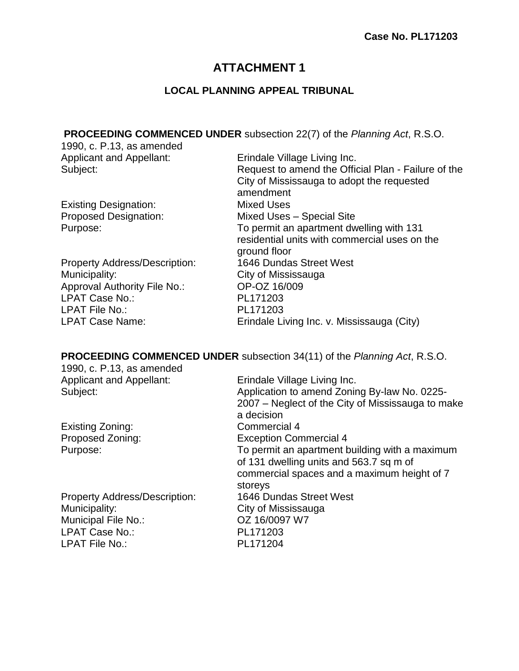# **ATTACHMENT 1**

# **LOCAL PLANNING APPEAL TRIBUNAL**

**PROCEEDING COMMENCED UNDER** subsection 22(7) of the *Planning Act*, R.S.O.

| 1990, c. P.13, as amended            |                                                     |
|--------------------------------------|-----------------------------------------------------|
| <b>Applicant and Appellant:</b>      | Erindale Village Living Inc.                        |
| Subject:                             | Request to amend the Official Plan - Failure of the |
|                                      | City of Mississauga to adopt the requested          |
|                                      | amendment                                           |
| <b>Existing Designation:</b>         | <b>Mixed Uses</b>                                   |
| <b>Proposed Designation:</b>         | <b>Mixed Uses - Special Site</b>                    |
| Purpose:                             | To permit an apartment dwelling with 131            |
|                                      | residential units with commercial uses on the       |
|                                      | ground floor                                        |
| <b>Property Address/Description:</b> | 1646 Dundas Street West                             |
| Municipality:                        | City of Mississauga                                 |
| Approval Authority File No.:         | OP-OZ 16/009                                        |
| LPAT Case No.:                       | PL171203                                            |
| <b>LPAT File No.:</b>                | PL171203                                            |
| <b>LPAT Case Name:</b>               | Erindale Living Inc. v. Mississauga (City)          |
|                                      |                                                     |

# **PROCEEDING COMMENCED UNDER** subsection 34(11) of the *Planning Act*, R.S.O.

| 1990, c. P.13, as amended            |                                                   |
|--------------------------------------|---------------------------------------------------|
| <b>Applicant and Appellant:</b>      | Erindale Village Living Inc.                      |
| Subject:                             | Application to amend Zoning By-law No. 0225-      |
|                                      | 2007 – Neglect of the City of Mississauga to make |
|                                      | a decision                                        |
| Existing Zoning:                     | Commercial 4                                      |
| Proposed Zoning:                     | <b>Exception Commercial 4</b>                     |
| Purpose:                             | To permit an apartment building with a maximum    |
|                                      | of 131 dwelling units and 563.7 sq m of           |
|                                      | commercial spaces and a maximum height of 7       |
|                                      | storeys                                           |
| <b>Property Address/Description:</b> | 1646 Dundas Street West                           |
| Municipality:                        | City of Mississauga                               |
| Municipal File No.:                  | OZ 16/0097 W7                                     |
| LPAT Case No.:                       | PL171203                                          |
| <b>LPAT File No.:</b>                | PL171204                                          |
|                                      |                                                   |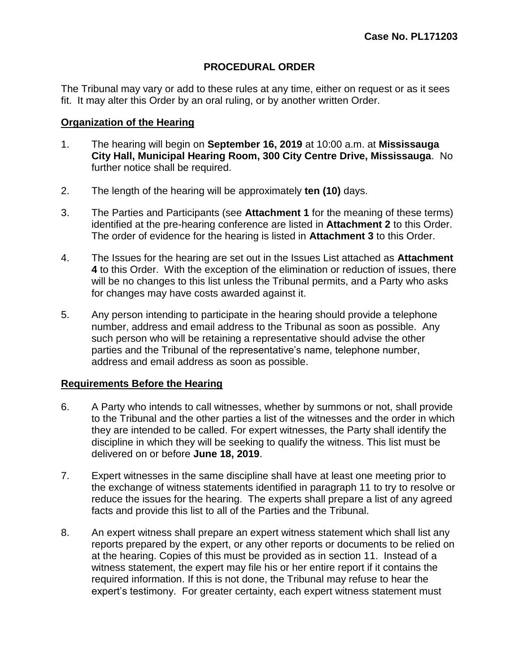## **PROCEDURAL ORDER**

The Tribunal may vary or add to these rules at any time, either on request or as it sees fit. It may alter this Order by an oral ruling, or by another written Order.

## **Organization of the Hearing**

- 1. The hearing will begin on **September 16, 2019** at 10:00 a.m. at **Mississauga City Hall, Municipal Hearing Room, 300 City Centre Drive, Mississauga**. No further notice shall be required.
- 2. The length of the hearing will be approximately **ten (10)** days.
- 3. The Parties and Participants (see **Attachment 1** for the meaning of these terms) identified at the pre-hearing conference are listed in **Attachment 2** to this Order. The order of evidence for the hearing is listed in **Attachment 3** to this Order.
- 4. The Issues for the hearing are set out in the Issues List attached as **Attachment 4** to this Order. With the exception of the elimination or reduction of issues, there will be no changes to this list unless the Tribunal permits, and a Party who asks for changes may have costs awarded against it.
- 5. Any person intending to participate in the hearing should provide a telephone number, address and email address to the Tribunal as soon as possible. Any such person who will be retaining a representative should advise the other parties and the Tribunal of the representative's name, telephone number, address and email address as soon as possible.

## **Requirements Before the Hearing**

- 6. A Party who intends to call witnesses, whether by summons or not, shall provide to the Tribunal and the other parties a list of the witnesses and the order in which they are intended to be called. For expert witnesses, the Party shall identify the discipline in which they will be seeking to qualify the witness. This list must be delivered on or before **June 18, 2019**.
- 7. Expert witnesses in the same discipline shall have at least one meeting prior to the exchange of witness statements identified in paragraph 11 to try to resolve or reduce the issues for the hearing. The experts shall prepare a list of any agreed facts and provide this list to all of the Parties and the Tribunal.
- 8. An expert witness shall prepare an expert witness statement which shall list any reports prepared by the expert, or any other reports or documents to be relied on at the hearing. Copies of this must be provided as in section 11. Instead of a witness statement, the expert may file his or her entire report if it contains the required information. If this is not done, the Tribunal may refuse to hear the expert's testimony. For greater certainty, each expert witness statement must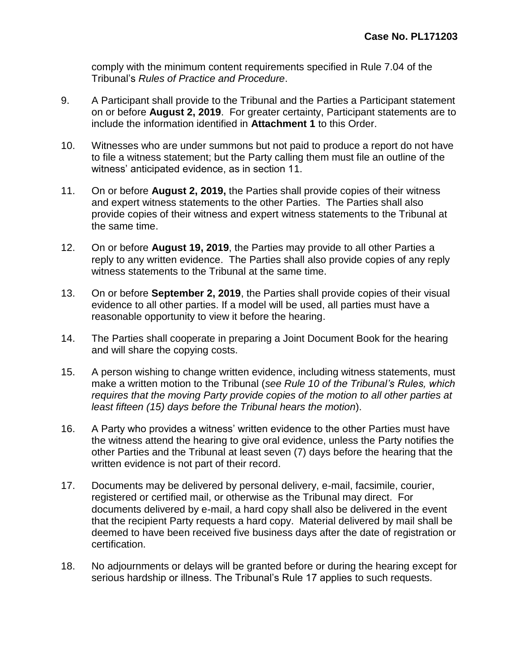comply with the minimum content requirements specified in Rule 7.04 of the Tribunal's *Rules of Practice and Procedure*.

- 9. A Participant shall provide to the Tribunal and the Parties a Participant statement on or before **August 2, 2019**. For greater certainty, Participant statements are to include the information identified in **Attachment 1** to this Order.
- 10. Witnesses who are under summons but not paid to produce a report do not have to file a witness statement; but the Party calling them must file an outline of the witness' anticipated evidence, as in section 11.
- 11. On or before **August 2, 2019,** the Parties shall provide copies of their witness and expert witness statements to the other Parties. The Parties shall also provide copies of their witness and expert witness statements to the Tribunal at the same time.
- 12. On or before **August 19, 2019**, the Parties may provide to all other Parties a reply to any written evidence. The Parties shall also provide copies of any reply witness statements to the Tribunal at the same time.
- 13. On or before **September 2, 2019**, the Parties shall provide copies of their visual evidence to all other parties. If a model will be used, all parties must have a reasonable opportunity to view it before the hearing.
- 14. The Parties shall cooperate in preparing a Joint Document Book for the hearing and will share the copying costs.
- 15. A person wishing to change written evidence, including witness statements, must make a written motion to the Tribunal (*see Rule 10 of the Tribunal's Rules, which requires that the moving Party provide copies of the motion to all other parties at least fifteen (15) days before the Tribunal hears the motion*).
- 16. A Party who provides a witness' written evidence to the other Parties must have the witness attend the hearing to give oral evidence, unless the Party notifies the other Parties and the Tribunal at least seven (7) days before the hearing that the written evidence is not part of their record.
- 17. Documents may be delivered by personal delivery, e-mail, facsimile, courier, registered or certified mail, or otherwise as the Tribunal may direct. For documents delivered by e-mail, a hard copy shall also be delivered in the event that the recipient Party requests a hard copy. Material delivered by mail shall be deemed to have been received five business days after the date of registration or certification.
- 18. No adjournments or delays will be granted before or during the hearing except for serious hardship or illness. The Tribunal's Rule 17 applies to such requests.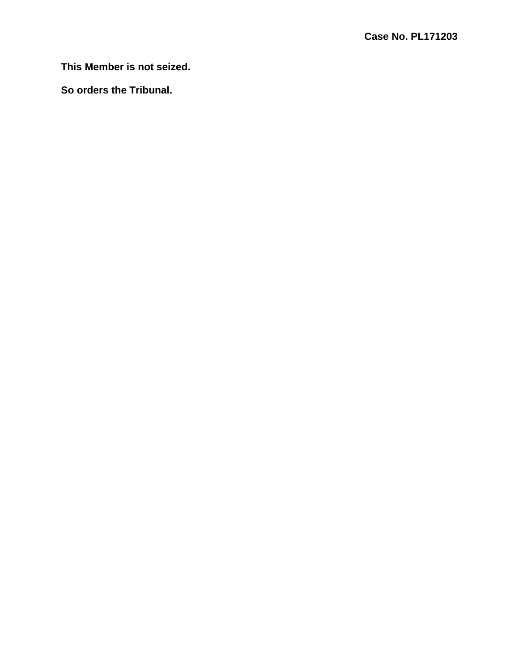**This Member is not seized.**

**So orders the Tribunal.**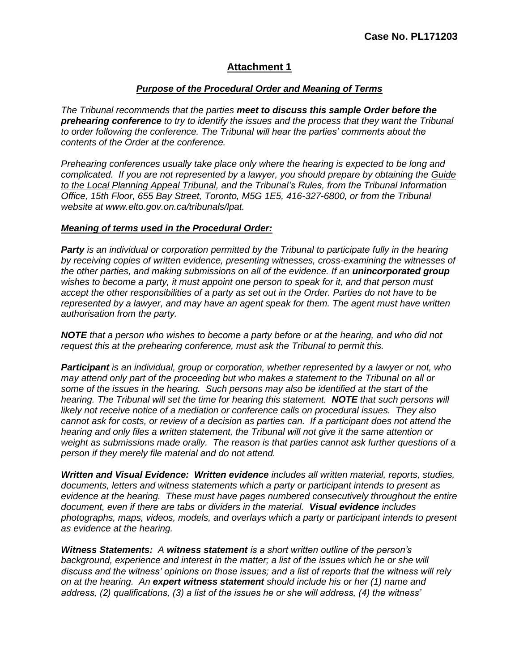#### *Purpose of the Procedural Order and Meaning of Terms*

*The Tribunal recommends that the parties meet to discuss this sample Order before the prehearing conference to try to identify the issues and the process that they want the Tribunal to order following the conference. The Tribunal will hear the parties' comments about the contents of the Order at the conference.*

*Prehearing conferences usually take place only where the hearing is expected to be long and complicated. If you are not represented by a lawyer, you should prepare by obtaining the Guide to the Local Planning Appeal Tribunal, and the Tribunal's Rules, from the Tribunal Information Office, 15th Floor, 655 Bay Street, Toronto, M5G 1E5, 416-327-6800, or from the Tribunal website at www.elto.gov.on.ca/tribunals/lpat.*

#### *Meaning of terms used in the Procedural Order:*

*Party is an individual or corporation permitted by the Tribunal to participate fully in the hearing by receiving copies of written evidence, presenting witnesses, cross-examining the witnesses of the other parties, and making submissions on all of the evidence. If an unincorporated group wishes to become a party, it must appoint one person to speak for it, and that person must accept the other responsibilities of a party as set out in the Order. Parties do not have to be represented by a lawyer, and may have an agent speak for them. The agent must have written authorisation from the party.*

*NOTE that a person who wishes to become a party before or at the hearing, and who did not request this at the prehearing conference, must ask the Tribunal to permit this.*

*Participant is an individual, group or corporation, whether represented by a lawyer or not, who may attend only part of the proceeding but who makes a statement to the Tribunal on all or some of the issues in the hearing. Such persons may also be identified at the start of the hearing. The Tribunal will set the time for hearing this statement. NOTE that such persons will likely not receive notice of a mediation or conference calls on procedural issues. They also cannot ask for costs, or review of a decision as parties can. If a participant does not attend the hearing and only files a written statement, the Tribunal will not give it the same attention or weight as submissions made orally. The reason is that parties cannot ask further questions of a person if they merely file material and do not attend.*

*Written and Visual Evidence: Written evidence includes all written material, reports, studies, documents, letters and witness statements which a party or participant intends to present as evidence at the hearing. These must have pages numbered consecutively throughout the entire document, even if there are tabs or dividers in the material. Visual evidence includes photographs, maps, videos, models, and overlays which a party or participant intends to present as evidence at the hearing.*

*Witness Statements: A witness statement is a short written outline of the person's*  background, experience and interest in the matter; a list of the issues which he or she will *discuss and the witness' opinions on those issues; and a list of reports that the witness will rely on at the hearing. An expert witness statement should include his or her (1) name and address, (2) qualifications, (3) a list of the issues he or she will address, (4) the witness'*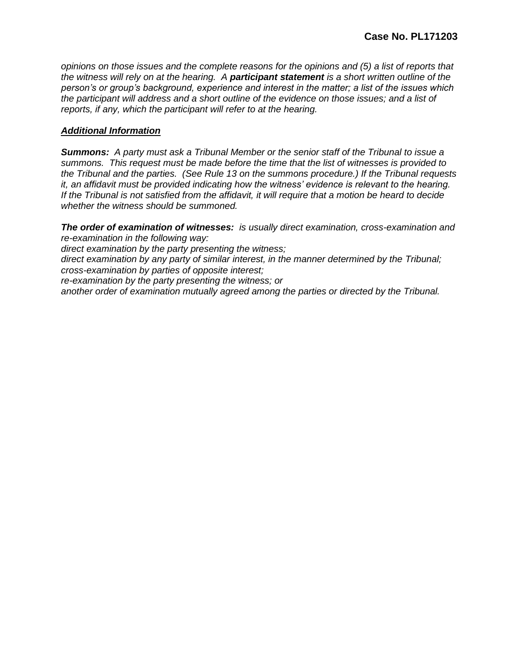*opinions on those issues and the complete reasons for the opinions and (5) a list of reports that the witness will rely on at the hearing. A participant statement is a short written outline of the person's or group's background, experience and interest in the matter; a list of the issues which the participant will address and a short outline of the evidence on those issues; and a list of reports, if any, which the participant will refer to at the hearing.*

#### *Additional Information*

*Summons: A party must ask a Tribunal Member or the senior staff of the Tribunal to issue a summons. This request must be made before the time that the list of witnesses is provided to the Tribunal and the parties. (See Rule 13 on the summons procedure.) If the Tribunal requests it, an affidavit must be provided indicating how the witness' evidence is relevant to the hearing. If the Tribunal is not satisfied from the affidavit, it will require that a motion be heard to decide whether the witness should be summoned.*

*The order of examination of witnesses: is usually direct examination, cross-examination and re-examination in the following way:*

*direct examination by the party presenting the witness;*

*direct examination by any party of similar interest, in the manner determined by the Tribunal; cross-examination by parties of opposite interest;* 

*re-examination by the party presenting the witness; or* 

*another order of examination mutually agreed among the parties or directed by the Tribunal.*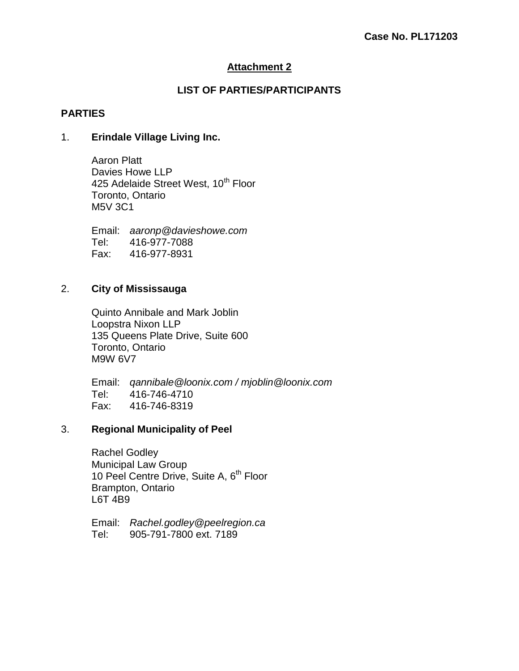## **LIST OF PARTIES/PARTICIPANTS**

## **PARTIES**

### 1. **Erindale Village Living Inc.**

Aaron Platt Davies Howe LLP 425 Adelaide Street West, 10<sup>th</sup> Floor Toronto, Ontario M5V 3C1

Email: *aaronp@davieshowe.com* Tel: 416-977-7088 Fax: 416-977-8931

## 2. **City of Mississauga**

Quinto Annibale and Mark Joblin Loopstra Nixon LLP 135 Queens Plate Drive, Suite 600 Toronto, Ontario M9W 6V7

Email: *qannibale@loonix.com / mjoblin@loonix.com* Tel: 416-746-4710 Fax: 416-746-8319

## 3. **Regional Municipality of Peel**

Rachel Godley Municipal Law Group 10 Peel Centre Drive, Suite A, 6<sup>th</sup> Floor Brampton, Ontario L6T 4B9

Email: *Rachel.godley@peelregion.ca* Tel: 905-791-7800 ext. 7189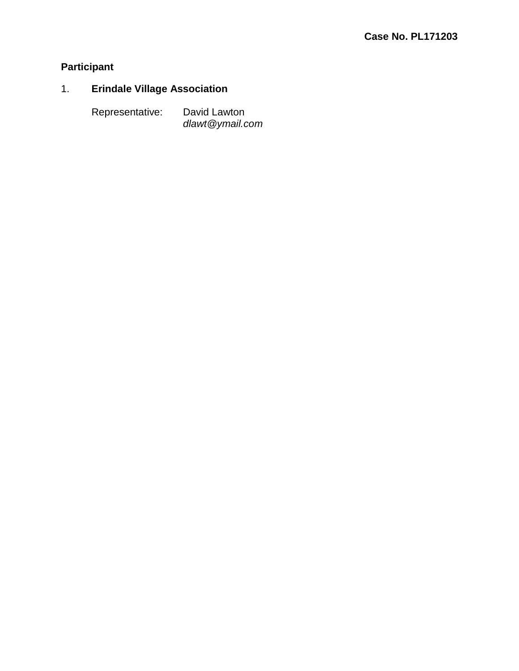# **Participant**

# 1. **Erindale Village Association**

Representative: David Lawton

*dlawt@ymail.com*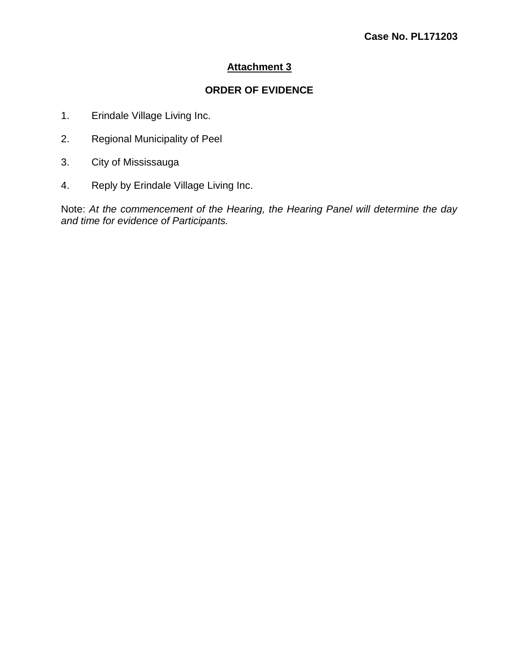## **ORDER OF EVIDENCE**

- 1. Erindale Village Living Inc.
- 2. Regional Municipality of Peel
- 3. City of Mississauga
- 4. Reply by Erindale Village Living Inc.

Note: *At the commencement of the Hearing, the Hearing Panel will determine the day and time for evidence of Participants.*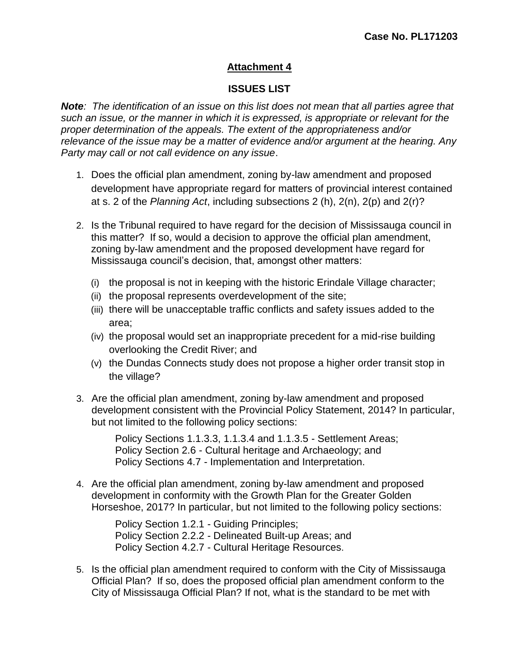## **ISSUES LIST**

*Note: The identification of an issue on this list does not mean that all parties agree that such an issue, or the manner in which it is expressed, is appropriate or relevant for the proper determination of the appeals. The extent of the appropriateness and/or relevance of the issue may be a matter of evidence and/or argument at the hearing. Any Party may call or not call evidence on any issue*.

- 1. Does the official plan amendment, zoning by-law amendment and proposed development have appropriate regard for matters of provincial interest contained at s. 2 of the *Planning Act*, including subsections 2 (h), 2(n), 2(p) and 2(r)?
- 2. Is the Tribunal required to have regard for the decision of Mississauga council in this matter? If so, would a decision to approve the official plan amendment, zoning by-law amendment and the proposed development have regard for Mississauga council's decision, that, amongst other matters:
	- (i) the proposal is not in keeping with the historic Erindale Village character;
	- (ii) the proposal represents overdevelopment of the site;
	- (iii) there will be unacceptable traffic conflicts and safety issues added to the area;
	- (iv) the proposal would set an inappropriate precedent for a mid-rise building overlooking the Credit River; and
	- (v) the Dundas Connects study does not propose a higher order transit stop in the village?
- 3. Are the official plan amendment, zoning by-law amendment and proposed development consistent with the Provincial Policy Statement, 2014? In particular, but not limited to the following policy sections:

Policy Sections 1.1.3.3, 1.1.3.4 and 1.1.3.5 - Settlement Areas; Policy Section 2.6 - Cultural heritage and Archaeology; and Policy Sections 4.7 - Implementation and Interpretation.

4. Are the official plan amendment, zoning by-law amendment and proposed development in conformity with the Growth Plan for the Greater Golden Horseshoe, 2017? In particular, but not limited to the following policy sections:

> Policy Section 1.2.1 - Guiding Principles; Policy Section 2.2.2 - Delineated Built-up Areas; and Policy Section 4.2.7 - Cultural Heritage Resources.

5. Is the official plan amendment required to conform with the City of Mississauga Official Plan? If so, does the proposed official plan amendment conform to the City of Mississauga Official Plan? If not, what is the standard to be met with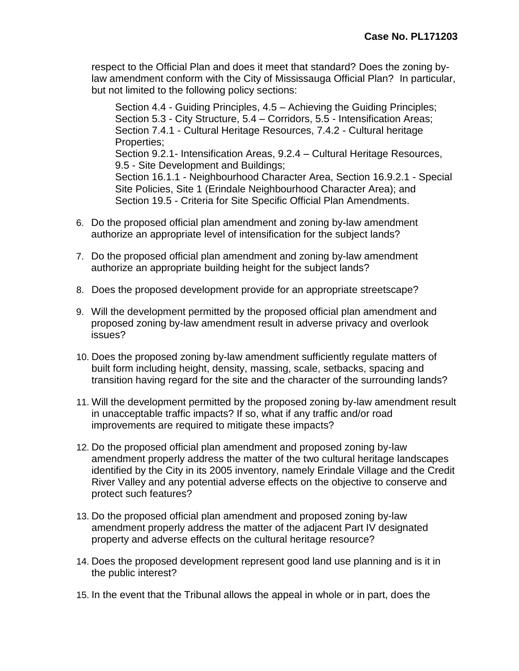respect to the Official Plan and does it meet that standard? Does the zoning bylaw amendment conform with the City of Mississauga Official Plan? In particular, but not limited to the following policy sections:

Section 4.4 - Guiding Principles, 4.5 – Achieving the Guiding Principles; Section 5.3 - City Structure, 5.4 – Corridors, 5.5 - Intensification Areas; Section 7.4.1 - Cultural Heritage Resources, 7.4.2 - Cultural heritage Properties; Section 9.2.1- Intensification Areas, 9.2.4 – Cultural Heritage Resources, 9.5 - Site Development and Buildings; Section 16.1.1 - Neighbourhood Character Area, Section 16.9.2.1 - Special Site Policies, Site 1 (Erindale Neighbourhood Character Area); and Section 19.5 - Criteria for Site Specific Official Plan Amendments.

- 6. Do the proposed official plan amendment and zoning by-law amendment authorize an appropriate level of intensification for the subject lands?
- 7. Do the proposed official plan amendment and zoning by-law amendment authorize an appropriate building height for the subject lands?
- 8. Does the proposed development provide for an appropriate streetscape?
- 9. Will the development permitted by the proposed official plan amendment and proposed zoning by-law amendment result in adverse privacy and overlook issues?
- 10. Does the proposed zoning by-law amendment sufficiently regulate matters of built form including height, density, massing, scale, setbacks, spacing and transition having regard for the site and the character of the surrounding lands?
- 11. Will the development permitted by the proposed zoning by-law amendment result in unacceptable traffic impacts? If so, what if any traffic and/or road improvements are required to mitigate these impacts?
- 12. Do the proposed official plan amendment and proposed zoning by-law amendment properly address the matter of the two cultural heritage landscapes identified by the City in its 2005 inventory, namely Erindale Village and the Credit River Valley and any potential adverse effects on the objective to conserve and protect such features?
- 13. Do the proposed official plan amendment and proposed zoning by-law amendment properly address the matter of the adjacent Part IV designated property and adverse effects on the cultural heritage resource?
- 14. Does the proposed development represent good land use planning and is it in the public interest?
- 15. In the event that the Tribunal allows the appeal in whole or in part, does the